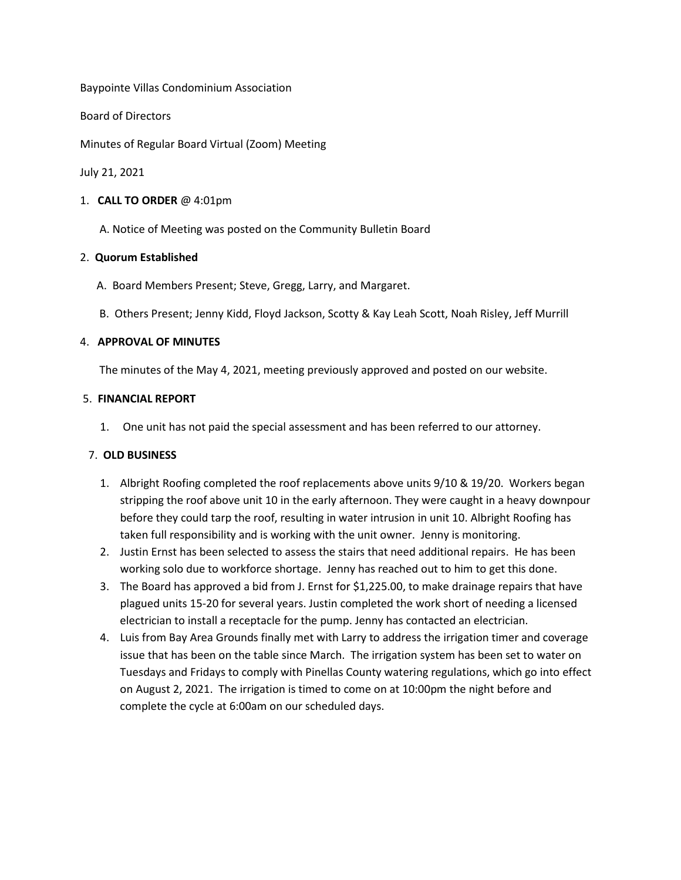Baypointe Villas Condominium Association

Board of Directors

Minutes of Regular Board Virtual (Zoom) Meeting

July 21, 2021

#### 1. **CALL TO ORDER** @ 4:01pm

A. Notice of Meeting was posted on the Community Bulletin Board

### 2. **Quorum Established**

- A. Board Members Present; Steve, Gregg, Larry, and Margaret.
- B. Others Present; Jenny Kidd, Floyd Jackson, Scotty & Kay Leah Scott, Noah Risley, Jeff Murrill

## 4. **APPROVAL OF MINUTES**

The minutes of the May 4, 2021, meeting previously approved and posted on our website.

### 5. **FINANCIAL REPORT**

1. One unit has not paid the special assessment and has been referred to our attorney.

# 7. **OLD BUSINESS**

- 1. Albright Roofing completed the roof replacements above units 9/10 & 19/20. Workers began stripping the roof above unit 10 in the early afternoon. They were caught in a heavy downpour before they could tarp the roof, resulting in water intrusion in unit 10. Albright Roofing has taken full responsibility and is working with the unit owner. Jenny is monitoring.
- 2. Justin Ernst has been selected to assess the stairs that need additional repairs. He has been working solo due to workforce shortage. Jenny has reached out to him to get this done.
- 3. The Board has approved a bid from J. Ernst for \$1,225.00, to make drainage repairs that have plagued units 15-20 for several years. Justin completed the work short of needing a licensed electrician to install a receptacle for the pump. Jenny has contacted an electrician.
- 4. Luis from Bay Area Grounds finally met with Larry to address the irrigation timer and coverage issue that has been on the table since March. The irrigation system has been set to water on Tuesdays and Fridays to comply with Pinellas County watering regulations, which go into effect on August 2, 2021. The irrigation is timed to come on at 10:00pm the night before and complete the cycle at 6:00am on our scheduled days.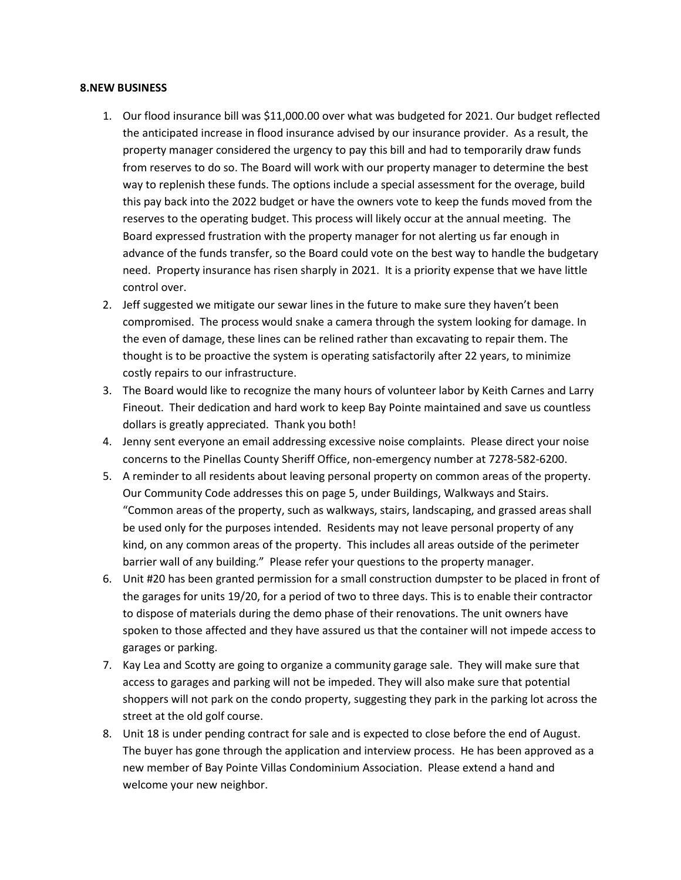#### **8.NEW BUSINESS**

- 1. Our flood insurance bill was \$11,000.00 over what was budgeted for 2021. Our budget reflected the anticipated increase in flood insurance advised by our insurance provider. As a result, the property manager considered the urgency to pay this bill and had to temporarily draw funds from reserves to do so. The Board will work with our property manager to determine the best way to replenish these funds. The options include a special assessment for the overage, build this pay back into the 2022 budget or have the owners vote to keep the funds moved from the reserves to the operating budget. This process will likely occur at the annual meeting. The Board expressed frustration with the property manager for not alerting us far enough in advance of the funds transfer, so the Board could vote on the best way to handle the budgetary need. Property insurance has risen sharply in 2021. It is a priority expense that we have little control over.
- 2. Jeff suggested we mitigate our sewar lines in the future to make sure they haven't been compromised. The process would snake a camera through the system looking for damage. In the even of damage, these lines can be relined rather than excavating to repair them. The thought is to be proactive the system is operating satisfactorily after 22 years, to minimize costly repairs to our infrastructure.
- 3. The Board would like to recognize the many hours of volunteer labor by Keith Carnes and Larry Fineout. Their dedication and hard work to keep Bay Pointe maintained and save us countless dollars is greatly appreciated. Thank you both!
- 4. Jenny sent everyone an email addressing excessive noise complaints. Please direct your noise concerns to the Pinellas County Sheriff Office, non-emergency number at 7278-582-6200.
- 5. A reminder to all residents about leaving personal property on common areas of the property. Our Community Code addresses this on page 5, under Buildings, Walkways and Stairs. "Common areas of the property, such as walkways, stairs, landscaping, and grassed areas shall be used only for the purposes intended. Residents may not leave personal property of any kind, on any common areas of the property. This includes all areas outside of the perimeter barrier wall of any building." Please refer your questions to the property manager.
- 6. Unit #20 has been granted permission for a small construction dumpster to be placed in front of the garages for units 19/20, for a period of two to three days. This is to enable their contractor to dispose of materials during the demo phase of their renovations. The unit owners have spoken to those affected and they have assured us that the container will not impede access to garages or parking.
- 7. Kay Lea and Scotty are going to organize a community garage sale. They will make sure that access to garages and parking will not be impeded. They will also make sure that potential shoppers will not park on the condo property, suggesting they park in the parking lot across the street at the old golf course.
- 8. Unit 18 is under pending contract for sale and is expected to close before the end of August. The buyer has gone through the application and interview process. He has been approved as a new member of Bay Pointe Villas Condominium Association. Please extend a hand and welcome your new neighbor.